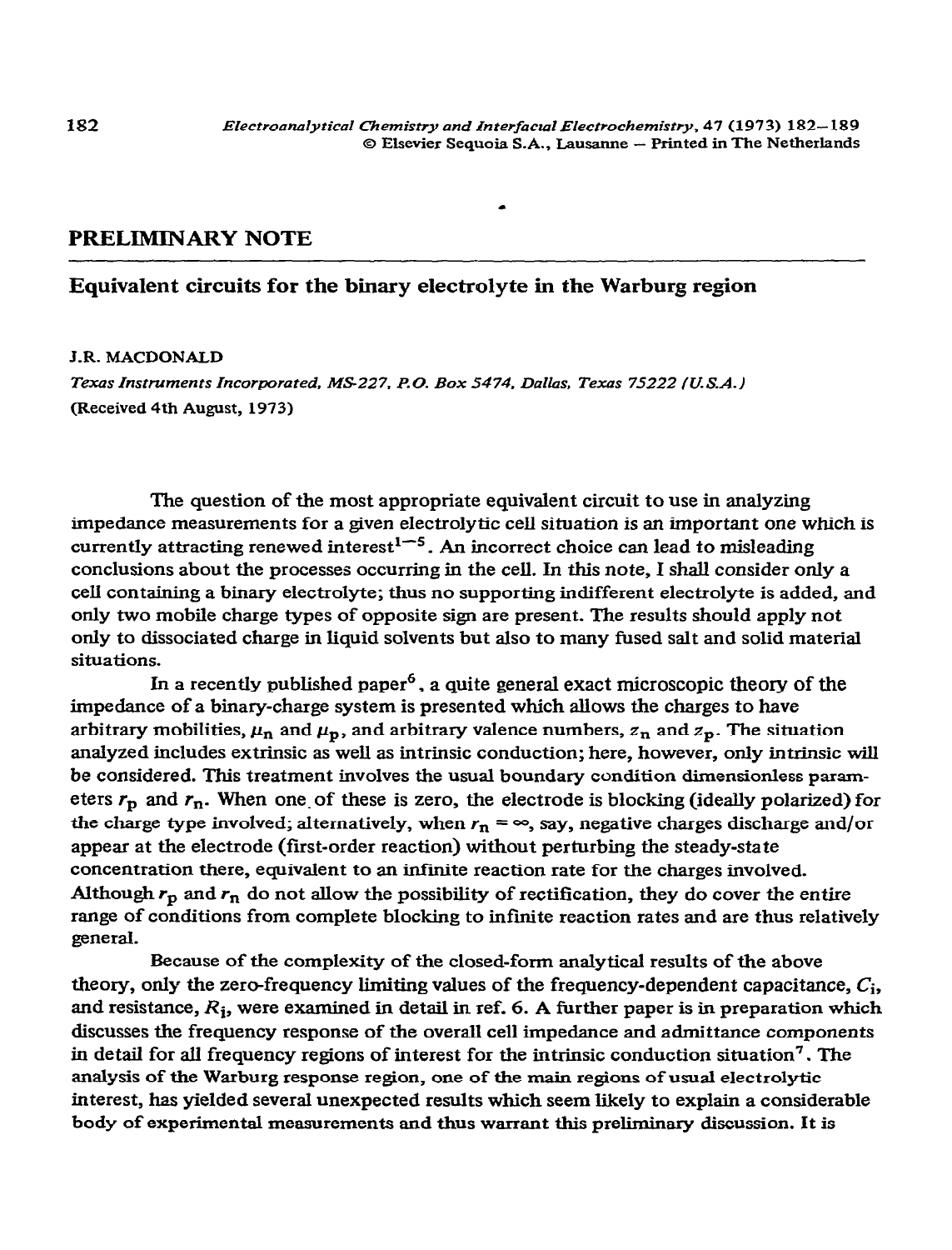## **PRELIMINARY NOTE**

# **Equivalent circuits for the binary electrolyte in the Warburg region**

#### **J.R. MACDONALD**

**Texas** *Instruments Incorporated, MS227, P.0. Box 5474, Dallas, Texas 75222 /U.S.A.)*  **(Received 4th August, 1973)** 

The question of the most appropriate equivalent circuit to use in analyzing impedance measurements for a given electrolytic cell situation is an important one which is currently attracting renewed interest<sup>1-5</sup>. An incorrect choice can lead to misleading conclusions about the processes occurring in the cell. In this note, I shall consider only a cell containing a binary electrolyte; thus no supporting indifferent electrolyte is added, and only two mobile charge types of opposite sign are present. The results should apply not only to dissociated charge in liquid solvents but also to many fused salt and solid material situations.

In a recently published paper<sup>6</sup>, a quite general exact microscopic theory of the impedance of a binary-charge system is presented which allows the charges to have arbitrary mobilities,  $\mu_n$  and  $\mu_p$ , and arbitrary valence numbers,  $z_n$  and  $z_p$ . The situation analyzed includes extrinsic as well as intrinsic conduction; here, however, only intrinsic will be considered. This treatment involves the usual boundary condition dimensionless parameters  $r_p$  and  $r_n$ . When one of these is zero, the electrode is blocking (ideally polarized) for the charge type involved; alternatively, when  $r_n = \infty$ , say, negative charges discharge and/or appear at the electrode (first-order reaction) without perturbing the steady-state concentration there, equivalent to an infinite reaction rate for the charges involved. Although  $r_p$  and  $r_n$  do not allow the possibility of rectification, they do cover the entire range of conditions from complete blocking to infinite reaction rates and are thus relatively general.

Because of the complexity of the closed-form analytical results of the above theory, only the zero-frequency limiting values of the frequency-dependent capacitance,  $C_i$ , and resistance,  $R_i$ , were examined in detail in ref. 6. A further paper is in preparation which discusses the frequency response of the overall cell impedance and admittance components in detail for all frequency regions of interest for the intrinsic conduction situation<sup>7</sup>. The analysis of the Warburg response region, one of the main regions of usual electrolytic interest, has yielded several unexpected results which seem likely to explain a considerable body of experimental measurements and thus warrant this preliminary discussion. It is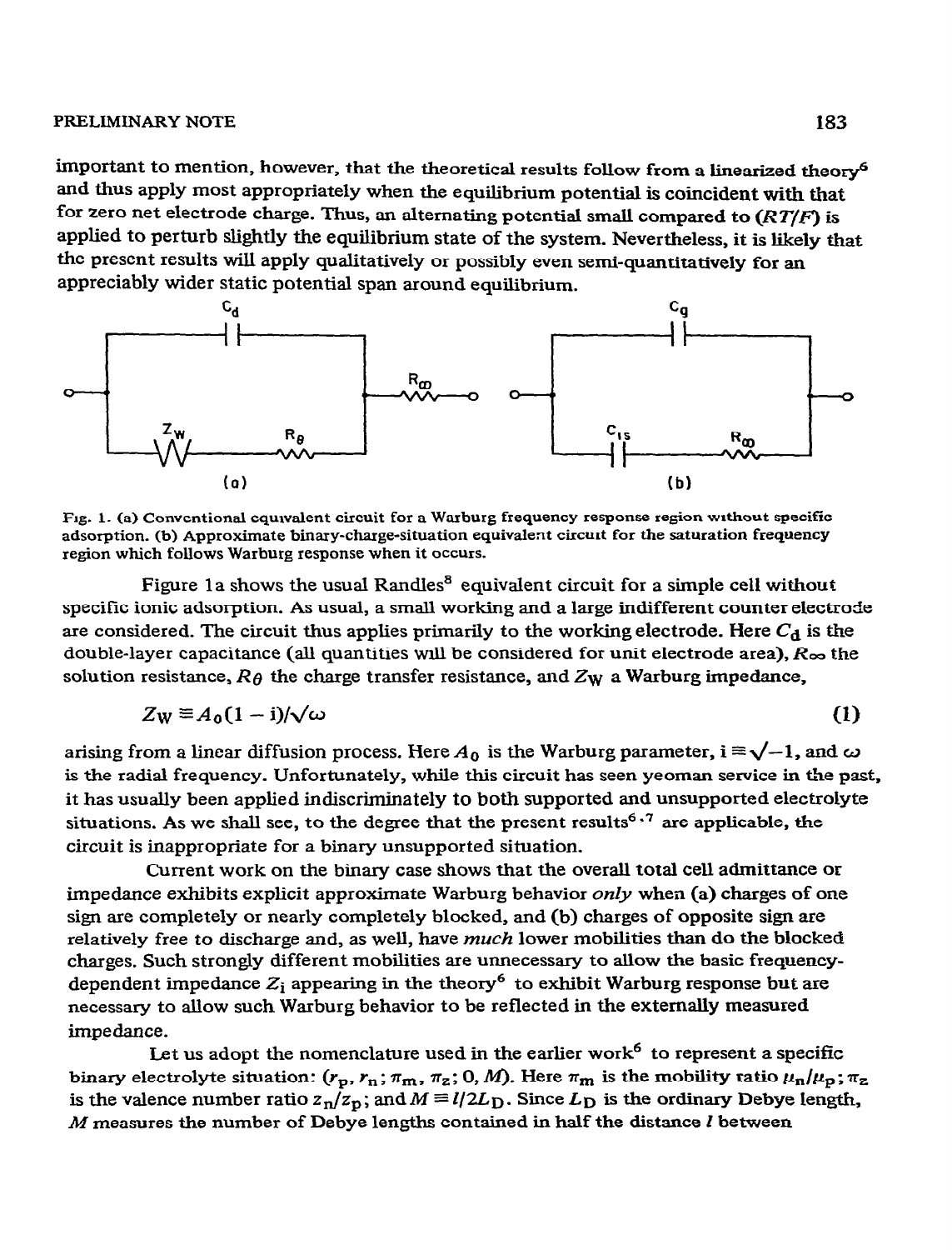important to mention, however, that the theoretical results follow from a linearized theory6 and thus apply most appropriately when the equilibrium potential is coincident with that for zero net electrode charge. Thus, an alternating potential small compared to  $(RT/F)$  is applied to perturb slightly the equilibrium state of the system. Nevertheless, it is likely that the present results will apply qualitatively or possibly even semi-quantitatively for an appreciably wider static potential span around equilibrium.



**Fig. 1. (a) Conventional equivalent** circuit for a Warburg frequency response region WIthout specific adsorption. (b) Approximate binary-charge-situation **equivalent circuit for the saturation frequency region which follows Warburg** response when it occurs.

Figure 1a shows the usual Randles<sup>8</sup> equivalent circuit for a simple cell without specific ionic adsorption. As usual, a small working and a large indifferent counter electrode are considered. The circuit thus applies primarily to the working electrode. Here  $C_d$  is the double-layer capacitance (all quantities will be considered for unit electrode area), R<sub>oo</sub> the solution resistance,  $R\theta$  the charge transfer resistance, and  $Z_{W}$  a Warburg impedance,

$$
Z_{\rm W} \equiv A_0 (1 - i) / \sqrt{\omega} \tag{1}
$$

arising from a linear diffusion process. Here  $A_0$  is the Warburg parameter,  $i \equiv \sqrt{-1}$ , and  $\omega$ is the radial frequency. Unfortunately, while this circuit has seen yeoman service in the past, it has usually been applied indiscriminately to both supported and unsupported electrolyte situations. As we shall see, to the degree that the present results<sup>6,7</sup> are applicable, the circuit is inappropriate for a binary unsupported situation.

Current work on the binary case shows that the overall total cell admittance or impedance exhibits explicit approximate Warburg behavior only when (a) charges of one sign are completely or nearly completely blocked, and (b) charges of opposite sign are relatively free *to* discharge and, as well, have *much* lower mobilities than do the blocked charges. Such strongly different mobilities are unnecessary to allow the basic frequencydependent impedance  $Z_i$  appearing in the theory<sup>6</sup> to exhibit Warburg response but are necessary to allow such Warburg behavior to be reflected in the externally measured impedance.

Let us adopt the nomenclature used in the earlier work<sup>6</sup> to represent a specific binary electrolyte situation:  $(r_p, r_n; \pi_m, \pi_z; 0, M)$ . Here  $\pi_m$  is the mobility ratio  $\mu_n/\mu_p; \pi_z$ is the valence number ratio  $z_n/z_p$ ; and  $M \equiv l/2L_D$ . Since  $L_D$  is the ordinary Debye length, *M* measures the number of Debye lengths contained in half the distance I between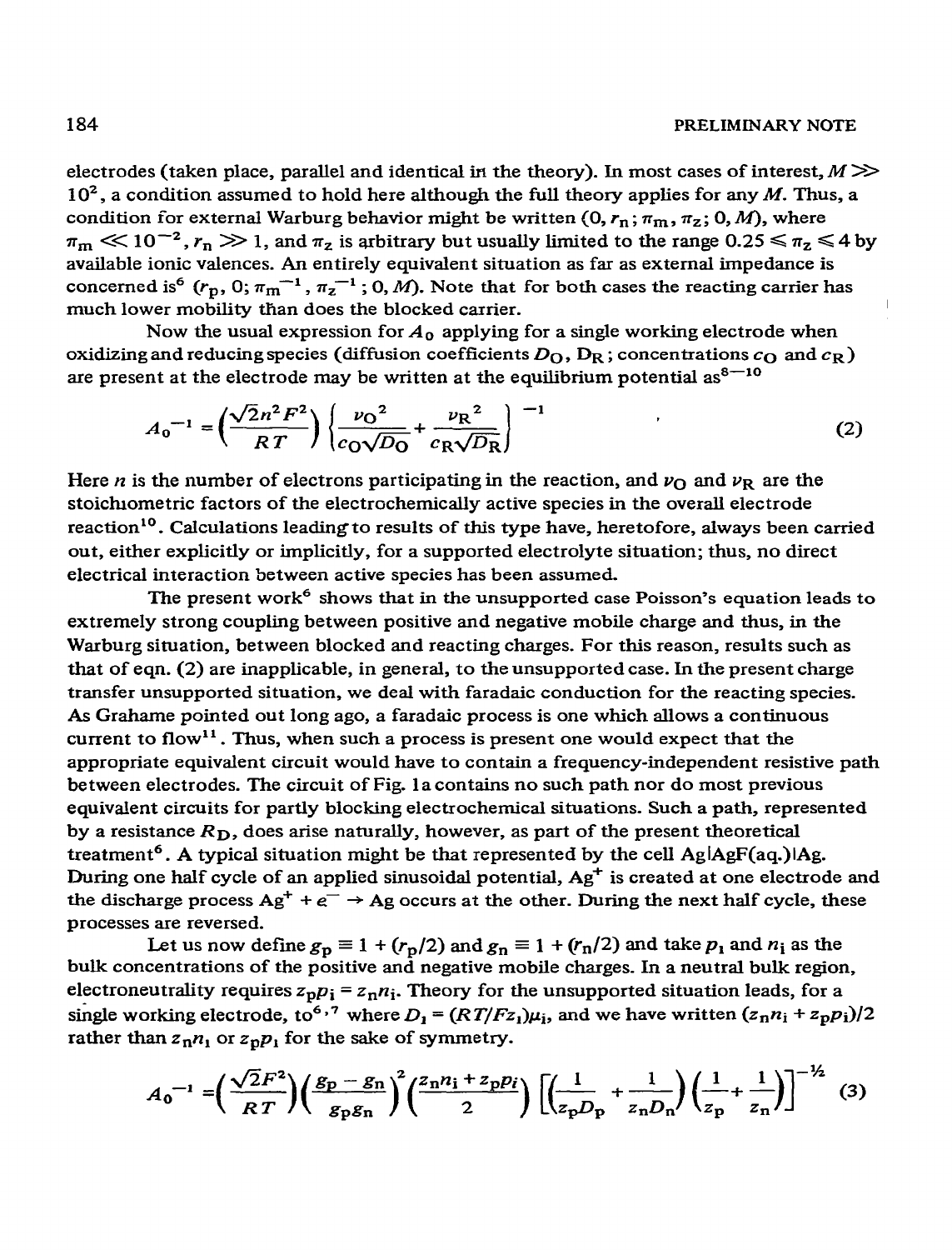electrodes (taken place, parallel and identical in the theory). In most cases of interest,  $M \gg$  $10^2$ , a condition assumed to hold here although the full theory applies for any M. Thus, a condition for external Warburg behavior might be written  $(0, r_n; \pi_m, \pi_z; 0, M)$ , where  $\pi_m \ll 10^{-2}$ ,  $r_n \gg 1$ , and  $\pi_z$  is arbitrary but usually limited to the range 0.25  $\le \pi_z \le 4$  by available ionic valences. An entirely equivalent situation as far as external impedance is concerned is<sup>6</sup> ( $r_p$ , 0;  $\pi_{\text{m}}^{-1}$ ,  $\pi_{\text{z}}^{-1}$ ; 0, *M*). Note that for both cases the reacting carrier has much lower mobility than does the blocked carrier.

Now the usual expression for  $A_0$  applying for a single working electrode when oxidizing and reducing species (diffusion coefficients  $D_O$ ,  $D_R$ ; concentrations  $c_O$  and  $c_R$ ) are present at the electrode may be written at the equilibrium potential  $as<sup>8-10</sup>$ 

$$
A_0^{-1} = \left(\frac{\sqrt{2}n^2F^2}{RT}\right) \left(\frac{\nu_0^2}{c_0\sqrt{D_0}} + \frac{\nu_R^2}{c_R\sqrt{D_R}}\right)^{-1}
$$
 (2)

Here *n* is the number of electrons participating in the reaction, and  $\nu_{\Omega}$  and  $\nu_{R}$  are the stoich ometric factors of the electrochemically active species in the overall electrode reaction<sup>10</sup>. Calculations leading to results of this type have, heretofore, always been carried out, either explicitly or implicitly, for a supported electrolyte situation; thus, no direct electrical interaction between active species has been assumed.

The present work<sup>6</sup> shows that in the unsupported case Poisson's equation leads to extremely strong coupling between positive and negative mobile charge and thus, in the Warburg situation, between blocked and reacting charges. For this reason, results such as that of eqn. (2) are inapplicable, in general, to the unsupported case. In the present charge transfer unsupported situation, we deal with faradaic conduction for the reacting species. As Grahame pointed out long ago, a faradaic process is one which allows a continuous current to flow<sup>11</sup>. Thus, when such a process is present one would expect that the appropriate equivalent circuit would have to contain a frequency-independent resistive path between electrodes. The circuit of Fig. 1 a contains no such path nor do most previous equivalent circuits for partly blocking electrochemical situations. Such a path, represented by a resistance  $R<sub>D</sub>$ , does arise naturally, however, as part of the present theoretical treatment<sup>6</sup>. A typical situation might be that represented by the cell AglAgF(aq.) $\overline{A}$ g. During one half cycle of an applied sinusoidal potential,  $Ag^+$  is created at one electrode and the discharge process  $Ag^+ + e^- \rightarrow Ag$  occurs at the other. During the next half cycle, these processes are reversed.

Let us now define  $g_p \equiv 1 + (r_p/2)$  and  $g_n \equiv 1 + (r_n/2)$  and take  $p_1$  and  $n_i$  as the bulk concentrations of the positive and negative mobile charges. In a neutral bulk region, electroneutrality requires  $z_p p_i = z_n n_i$ . Theory for the unsupported situation leads, for a single working electrode, to<sup>6,7</sup> where  $D_1 = (RT/Fz_1)\mu_i$ , and we have written  $(z_1n_1 + z_2p_1)/2$ rather than  $z_1n_1$  or  $z_0p_1$  for the sake of symmetry.

$$
A_0^{-1} = \left(\frac{\sqrt{2}F^2}{RT}\right) \left(\frac{g_p - g_n}{g_p g_n}\right)^2 \left(\frac{z_n n_i + z_p p_i}{2}\right) \left[\left(\frac{1}{z_p D_p} + \frac{1}{z_n D_n}\right) \left(\frac{1}{z_p} + \frac{1}{z_n}\right)\right]^{-\frac{1}{2}} \tag{3}
$$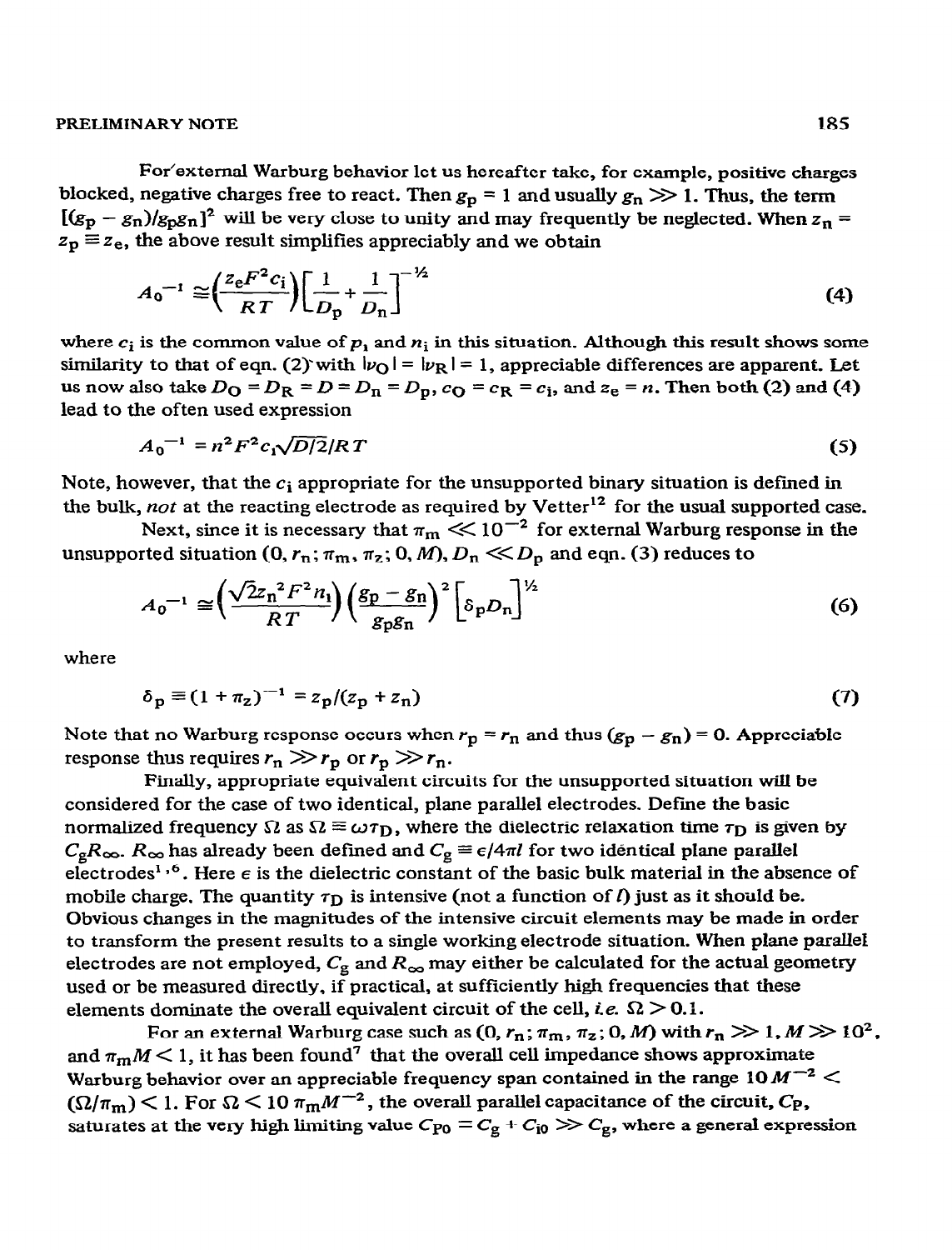#### **PRELIMINARY NOTE** 185

For'external Warburg behavior let us hereafter take, for example, positive charges blocked, negative charges free to react. Then  $g_p = 1$  and usually  $g_n \gg 1$ . Thus, the term  $[(g_p - g_n)/g_p g_n]^2$  will be very close to unity and may frequently be neglected. When  $z_n =$  $z_p \equiv z_e$ , the above result simplifies appreciably and we obtain

$$
A_0^{-1} \cong \left(\frac{z_e F^2 c_i}{RT}\right) \left[\frac{1}{D_p} + \frac{1}{D_n}\right]^{-\frac{1}{2}}
$$
 (4)

where  $c_i$  is the common value of  $p_i$  and  $n_i$  in this situation. Although this result shows some similarity to that of eqn. (2) with  $|v_{\text{Q}}| = |v_{\text{R}}| = 1$ , appreciable differences are apparent. Let **us** now also take  $D_Q = D_R = D = D_n = D_p$ ,  $c_Q = c_R = c_i$ , and  $z_e = n$ . Then both (2) and (4) lead to the often used expression

$$
A_0^{-1} = n^2 F^2 c_1 \sqrt{D/2} / RT \tag{5}
$$

Note, however, that the  $c_i$  appropriate for the unsupported binary situation is defined in the bulk, not at the reacting electrode as required by Vetter<sup>12</sup> for the usual supported case.

Next, since it is necessary that  $\pi_m \ll 10^{-2}$  for external Warburg response in the unsupported situation  $(0, r_n; \pi_m, \pi_z; 0, M)$ ,  $D_n \ll D_p$  and eqn. (3) reduces to

$$
A_0^{-1} \cong \left(\frac{\sqrt{2}z_n^2 F^2 n_1}{RT}\right) \left(\frac{g_p - g_n}{g_p g_n}\right)^2 \left[\delta_p D_n\right]^{1/2} \tag{6}
$$

where

$$
\delta_p \equiv (1 + \pi_z)^{-1} = z_p/(z_p + z_n)
$$
 (7)

Note that no Warburg response occurs when  $r_p = r_n$  and thus  $(g_p - g_n) = 0$ . Appreciable response thus requires  $r_n \gg r_p$  or  $r_p \gg r_n$ .

Finally, appropriate equivalent circuits for the unsupported situation will be considered for the case of two identical, plane parallel electrodes. Define the basic normalized frequency  $\Omega$  as  $\Omega \equiv \omega \tau_D$ , where the dielectric relaxation time  $\tau_D$  is given by  $C_{\rm g}R_{\infty}$ .  $R_{\infty}$  has already been defined and  $C_{\rm g} \equiv \epsilon/4\pi l$  for two identical plane parallel electrodes<sup>1,6</sup>. Here  $\epsilon$  is the dielectric constant of the basic bulk material in the absence of mobile charge. The quantity  $\tau_D$  is intensive (not a function of *l*) just as it should be. Obvious changes in the magnitudes of the intensive circuit elements may be made in order to transform the present results to a single working electrode situation. When plane parallel electrodes are not employed,  $C_{\rm g}$  and  $R_{\infty}$  may either be calculated for the actual geometry used or be measured directly, if practical, at sufficiently high frequencies that these elements dominate the overall equivalent circuit of the cell, *i.e.*  $\Omega > 0.1$ .

For an external Warburg case such as  $(0, r_n; \pi_m, \pi_z; 0, M)$  with  $r_n \gg 1, M \gg 10^2$ , and  $\pi_m M < 1$ , it has been found<sup>7</sup> that the overall cell impedance shows approximate Warburg behavior over an appreciable frequency span contained in the range 10  $M^{-2}$  <  $(\Omega/\pi_{\rm m})$  < 1. For  $\Omega$  < 10  $\pi_{\rm m}M^{-2}$ , the overall parallel capacitance of the circuit,  $C_{\rm P}$ , saturates at the very high limiting value  $C_{P0} \equiv C_g + C_{10} \gg C_g$ , where a general expression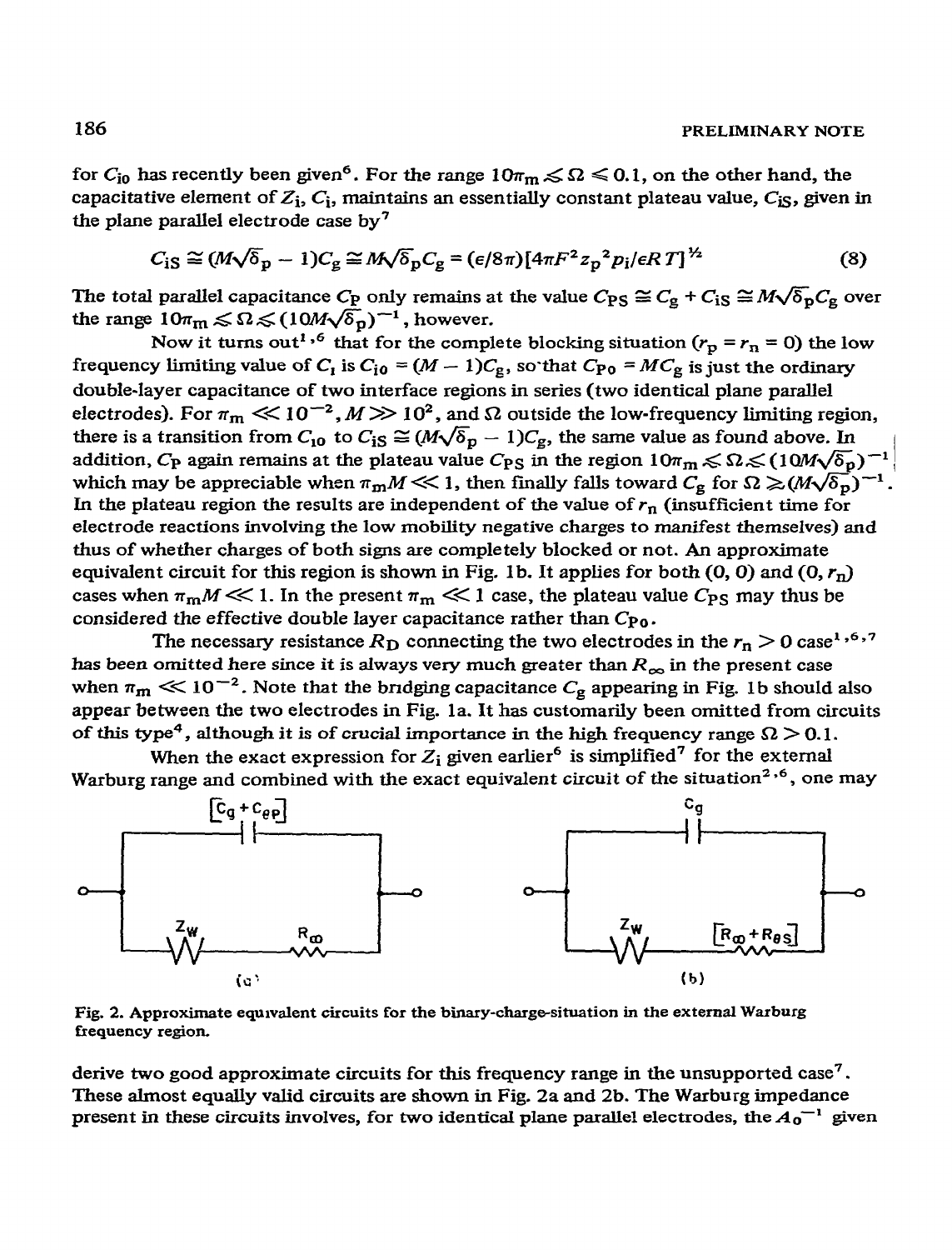for  $C_{i0}$  has recently been given<sup>6</sup>. For the range  $10\pi_{m} \le \Omega \le 0.1$ , on the other hand, the capacitative element of  $Z_i$ ,  $C_i$ , maintains an essentially constant plateau value,  $C_i$ <sub>S</sub>, given in the plane parallel electrode ease by 7

$$
C_{\rm iS} \cong (M\sqrt{\delta_p} - 1)C_{\rm g} \cong M\sqrt{\delta_p}C_{\rm g} = (\epsilon/8\pi)[4\pi F^2 z_p^2 p_i/\epsilon RT]^{\frac{1}{2}}
$$
(8)

The total parallel capacitance  $C_P$  only remains at the value  $C_{PS} \cong C_g + C_{IS} \cong M \sqrt{\delta_p} C_g$  over the range  $10\pi_\text{m} \leq \Omega \leq (10M\sqrt{\delta_\text{p}})^{-1}$ , however.

Now it turns out<sup>1,6</sup> that for the complete blocking situation ( $r_p = r_n = 0$ ) the low frequency limiting value of  $C_1$  is  $C_{10} = (M - 1)C_g$ , so that  $C_{P0} = MC_g$  is just the ordinary double-layer capacitance of two interface regions in series (two identical plane parallel electrodes). For  $\pi_m \ll 10^{-2}$ ,  $M \gg 10^2$ , and  $\Omega$  outside the low-frequency limiting region, there is a transition from  $C_{10}$  to  $C_{1S} \cong (M\sqrt{\delta_p} - 1)C_g$ , the same value as found above. In addition,  $C_P$  again remains at the plateau value  $C_{PS}$  in the region  $10\pi_m \le \Omega \le (10M\sqrt{\delta_p})^{-1}$ which may be appreciable when  $\pi_m M \ll 1$ , then finally falls toward  $C_g$  for  $\Omega \geq (M\sqrt{\delta_p})^{-1}$ . In the plateau region the results are independent of the value of  $r_n$  (insufficient time for electrode reactions involving the low mobility negative charges to manifest themselves) and thus of whether charges of both signs axe completely blocked or not. An approximate equivalent circuit for this region is shown in Fig. 1b. It applies for both  $(0, 0)$  and  $(0, r_n)$ cases when  $\pi_{m}M \ll 1$ . In the present  $\pi_{m} \ll 1$  case, the plateau value  $C_{PS}$  may thus be considered the effective double layer capacitance rather than  $C_{P0}$ .

The necessary resistance  $R_D$  connecting the two electrodes in the  $r_n > 0$  case<sup>1</sup>,<sup>6,7</sup> has been omitted here since it is always very much greater than  $R_{\infty}$  in the present case when  $\pi_m \ll 10^{-2}$ . Note that the bridging capacitance  $C_g$  appearing in Fig. 1b should also appear between the two electrodes in Fig. la. It has customarily been omitted from circuits of this type<sup>4</sup>, although it is of crucial importance in the high frequency range  $\Omega > 0.1$ .

When the exact expression for  $Z_i$  given earlier<sup>6</sup> is simplified<sup>7</sup> for the external Warburg range and combined with the exact equivalent circuit of the situation<sup>2,6</sup>, one may



Fig. 2. Approximate equivalent circuits for the binary-charge-situation in the external Warburg **frequency** region.

derive two good approximate circuits for this frequency range in the unsupported case<sup>7</sup>. These almost equally valid circuits are shown in Fig. 2a and 2b. The Warburg impedance present in these circuits involves, for two identical plane parallel electrodes, the  $A_0$ <sup>-1</sup> given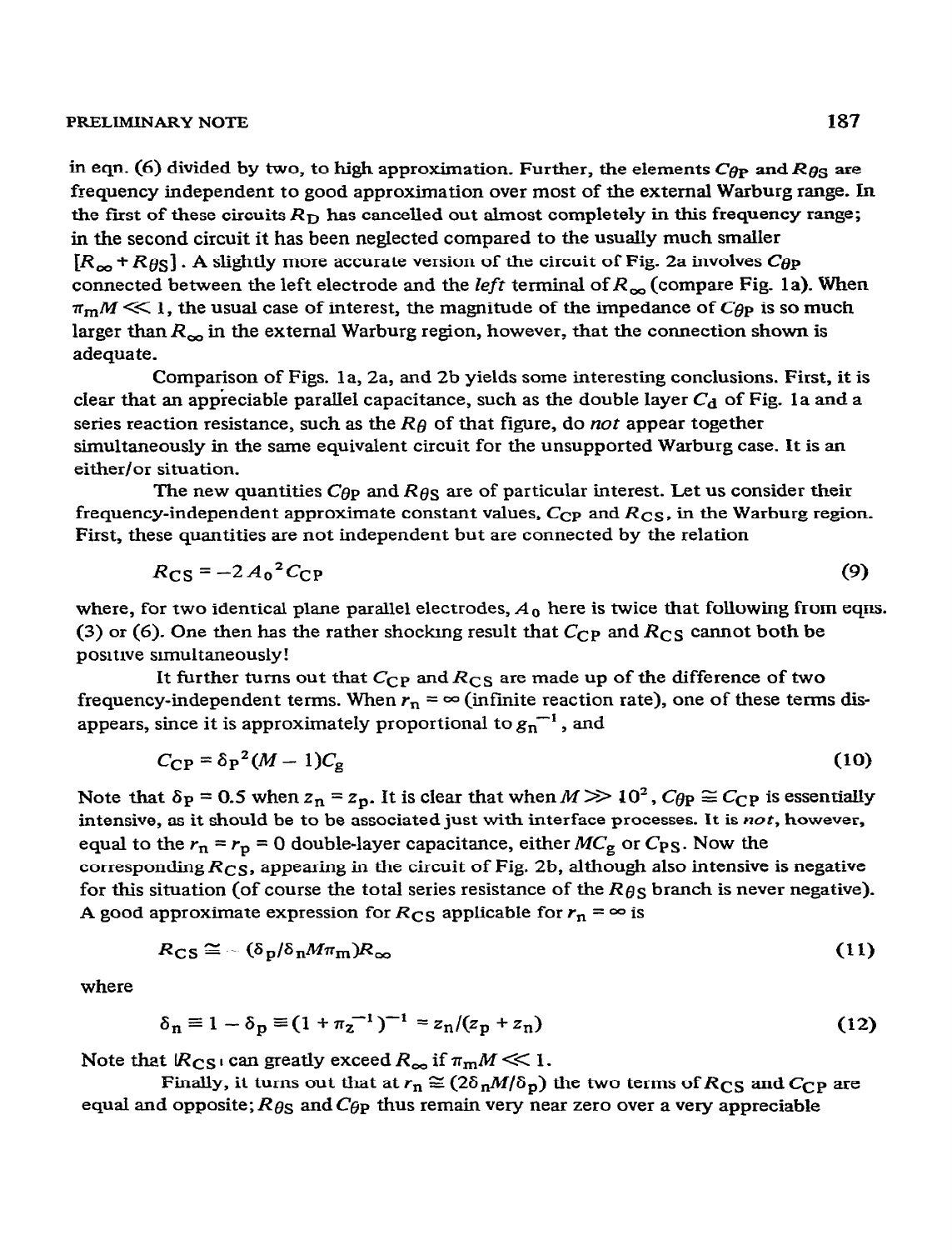#### **PRELIMINARY NOTE** 187

in eqn. (6) divided by two, to high approximation. Further, the elements  $C_{\theta P}$  and  $R_{\theta S}$  are frequency independent to good approximation over most of the external Warburg range. In the first of these circuits *RD has* cancelled out almost completely in this frequency range; in the second circuit it has been neglected compared to the usually much smaller  $[R_{\infty} + R_{\theta S}]$ . A slightly more accurate version of the circuit of Fig. 2a involves  $C_{\theta P}$ connected between the left electrode and the *left* terminal of  $R_{\infty}$  (compare Fig. 1a). When  $\pi_{m}/M \ll 1$ , the usual case of interest, the magnitude of the impedance of  $C_{\theta P}$  is so much larger than  $R_{\infty}$  in the external Warburg region, however, that the connection shown is adequate.

Comparison of Figs. la, 2a, and 2b yields some interesting conclusions. First, it is clear that an appreciable parallel capacitance, such as the double layer  $C_d$  of Fig. 1a and a series reaction resistance, such as the *Re* of that figure, do *not* appear together simultaneously in the same equivalent circuit for the unsupported Warburg case. It is an either/or situation.

The new quantities  $C_{\theta P}$  and  $R_{\theta S}$  are of particular interest. Let us consider their frequency-independent approximate constant values, Ccp and *Rcs, in the* Warburg region. First, these quantities are not independent but are connected by the relation

$$
R_{\rm CS} = -2A_0^2 C_{\rm CP} \tag{9}
$$

where, for two identical plane parallel electrodes,  $A_0$  here is twice that following from eqns. (3) or (6). One then has the rather shocking result that  $C_{\text{CP}}$  and  $R_{\text{CS}}$  cannot both be positrve sunultaneously!

It further turns out that  $C_{CP}$  and  $R_{CS}$  are made up of the difference of two frequency-independent terms. When  $r_n = \infty$  (infinite reaction rate), one of these terms disappears, since it is approximately proportional to  $g_n^{-1}$ , and

$$
C_{\rm CP} = \delta_{\rm P}^2 (M - 1) C_{\rm g} \tag{10}
$$

Note that  $\delta_p = 0.5$  when  $z_n = z_p$ . It is clear that when  $M \gg 10^2$ ,  $C_{\theta p} \approx C_{\theta p}$  is essentially intensive, as it should be to be associated just with interface processes. It is  $not$ , however, equal to the  $r_n = r_p = 0$  double-layer capacitance, either  $MC_g$  or  $C_{PS}$ . Now the corresponding *Rcs,* appearing in the circuit of Fig. 2b, although also intensive is negative for this situation (of course the total series resistance of the *Ros* branch is never negative). A good approximate expression for  $R_{CS}$  applicable for  $r_n = \infty$  is

$$
R_{\rm CS} \cong -(\delta_p/\delta_n M \pi_m) R_{\infty} \tag{11}
$$

where

$$
\delta_n \equiv 1 - \delta_p \equiv (1 + \pi_z^{-1})^{-1} = z_n/(z_p + z_n)
$$
 (12)

Note that  $R_{CS}$  can greatly exceed  $R_{\infty}$  if  $\pi_{m}M \ll 1$ .

Finally, it turns out that at  $r_n \approx (2\delta_n M/\delta_p)$  the two terms of  $R_{CS}$  and  $C_{CP}$  are equal and opposite;  $R_{\theta S}$  and  $C_{\theta P}$  thus remain very near zero over a very appreciable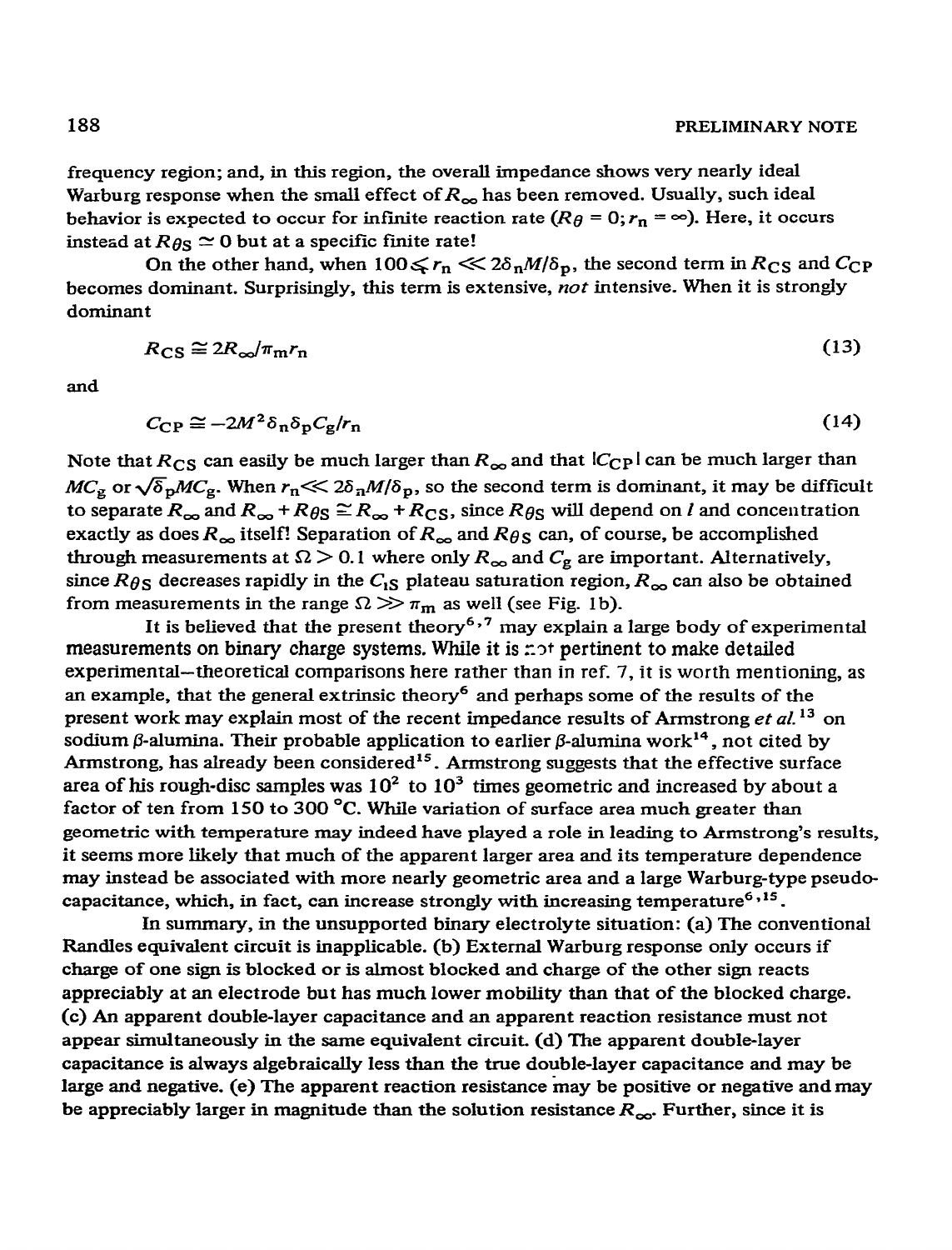frequency region; and, in this region, the overall impedance shows very nearly ideal Warburg response when the small effect of  $R_{\infty}$  has been removed. Usually, such ideal behavior is expected to occur for infinite reaction rate  $(R_{\theta} = 0; r_{\theta} = \infty)$ . Here, it occurs instead at  $R_{\theta S} \simeq 0$  but at a specific finite rate!

On the other hand, when  $100\leq r_n \ll 2\delta_n M/\delta_p$ , the second term in  $R_{CS}$  and  $C_{CP}$ becomes dominant. Surprisingly, this term is extensive, *not* intensive. When it is strongly dominant

$$
R_{\rm CS} \cong 2R_{\infty}/\pi_{\rm m}r_{\rm n} \tag{13}
$$

and

$$
C_{\rm CP} \cong -2M^2 \delta_{\rm n} \delta_{\rm p} C_{\rm g} / r_{\rm n} \tag{14}
$$

Note that  $R_{CS}$  can easily be much larger than  $R_{\infty}$  and that  $|C_{CP}|$  can be much larger than  $MC_g$  or  $\sqrt{\delta_p}MC_g$ . When  $r_n \ll 2\delta_n M/\delta_p$ , so the second term is dominant, it may be difficult to separate  $R_{\infty}$  and  $R_{\infty}$  +  $R_{\theta S} \cong R_{\infty}$  +  $R_{CS}$ , since  $R_{\theta S}$  will depend on l and concentration exactly as does  $R_{\infty}$  itself! Separation of  $R_{\infty}$  and  $R_{\theta S}$  can, of course, be accomplished through measurements at  $\Omega > 0.1$  where only  $R_{\infty}$  and  $C_{\rm g}$  are important. Alternatively, since  $R_{\theta S}$  decreases rapidly in the  $C_{1S}$  plateau saturation region,  $R_{\infty}$  can also be obtained from measurements in the range  $\Omega \gg \pi_m$  as well (see Fig. 1b).

It is believed that the present theory<sup>6,7</sup> may explain a large body of experimental measurements on binary charge systems. While it is  $\pi$ <sup>t</sup> pertinent to make detailed experimental--theoretical comparisons here rather than in ref. 7, it is worth mentioning, as an example, that the general extrinsic theory<sup>6</sup> and perhaps some of the results of the present work may explain most of the recent impedance results of Armstrong et al.<sup>13</sup> on sodium  $\beta$ -alumina. Their probable application to earlier  $\beta$ -alumina work<sup>14</sup>, not cited by Armstrong, has already been considered<sup>15</sup>. Armstrong suggests that the effective surface area of his rough-disc samples was  $10^2$  to  $10^3$  times geometric and increased by about a factor of ten from 150 to 300 °C. While variation of surface area much greater than geometric with temperature may indeed have played a role in leading to Armstrong's results, it seems more likely that much of the apparent larger area and its temperature dependence may instead be associated with more nearly geometric area and a large Warburg-type pseudocapacitance, which, in fact, can increase strongly with increasing temperature<sup>6,15</sup>.

In summary, in the unsupported binary electrolyte situation: (a) The conventional Randles equivalent circuit is inapplicable. (b) External Warburg response only occurs if charge of one sign is blocked or is almost blocked and charge of the other sign reacts appreciably at an electrode but has much lower mobility than that of the blocked charge. (c) An apparent double-layer capacitance and an apparent reaction resistance must not appear simultaneously in the same equivalent circuit. (d) The apparent double-layer capacitance is always algebraically less than the true double-layer capacitance and may be large and negative. (e) The apparent reaction resistance may be positive or negative and may be appreciably larger in magnitude than the solution resistance  $R_{\infty}$ . Further, since it is